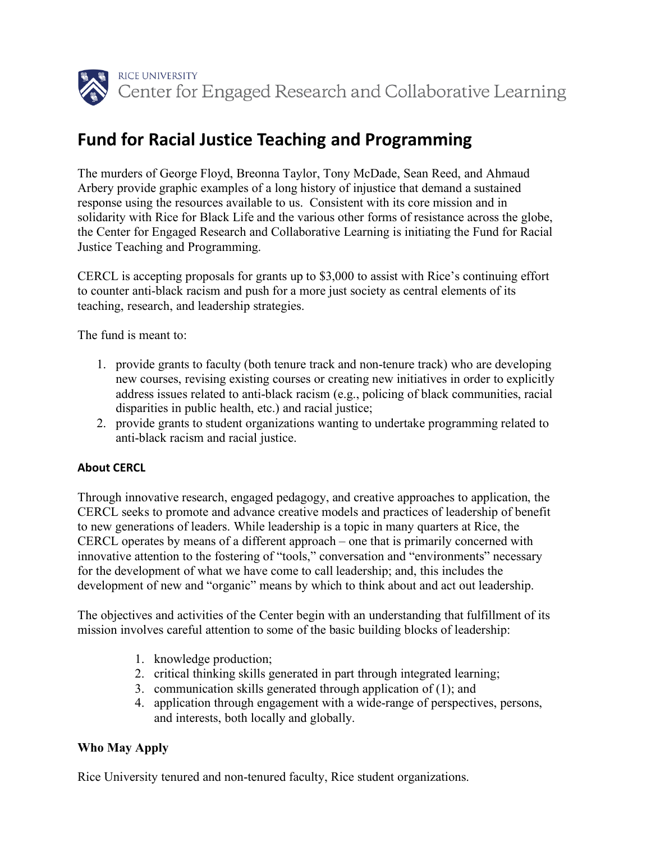

### **Fund for Racial Justice Teaching and Programming**

The murders of George Floyd, Breonna Taylor, Tony McDade, Sean Reed, and Ahmaud Arbery provide graphic examples of a long history of injustice that demand a sustained response using the resources available to us. Consistent with its core mission and in solidarity with Rice for Black Life and the various other forms of resistance across the globe, the Center for Engaged Research and Collaborative Learning is initiating the Fund for Racial Justice Teaching and Programming.

CERCL is accepting proposals for grants up to \$3,000 to assist with Rice's continuing effort to counter anti-black racism and push for a more just society as central elements of its teaching, research, and leadership strategies.

The fund is meant to:

- 1. provide grants to faculty (both tenure track and non-tenure track) who are developing new courses, revising existing courses or creating new initiatives in order to explicitly address issues related to anti-black racism (e.g., policing of black communities, racial disparities in public health, etc.) and racial justice;
- 2. provide grants to student organizations wanting to undertake programming related to anti-black racism and racial justice.

#### **About CERCL**

Through innovative research, engaged pedagogy, and creative approaches to application, the CERCL seeks to promote and advance creative models and practices of leadership of benefit to new generations of leaders. While leadership is a topic in many quarters at Rice, the CERCL operates by means of a different approach – one that is primarily concerned with innovative attention to the fostering of "tools," conversation and "environments" necessary for the development of what we have come to call leadership; and, this includes the development of new and "organic" means by which to think about and act out leadership.

The objectives and activities of the Center begin with an understanding that fulfillment of its mission involves careful attention to some of the basic building blocks of leadership:

- 1. knowledge production;
- 2. critical thinking skills generated in part through integrated learning;
- 3. communication skills generated through application of (1); and
- 4. application through engagement with a wide-range of perspectives, persons, and interests, both locally and globally.

#### **Who May Apply**

Rice University tenured and non-tenured faculty, Rice student organizations.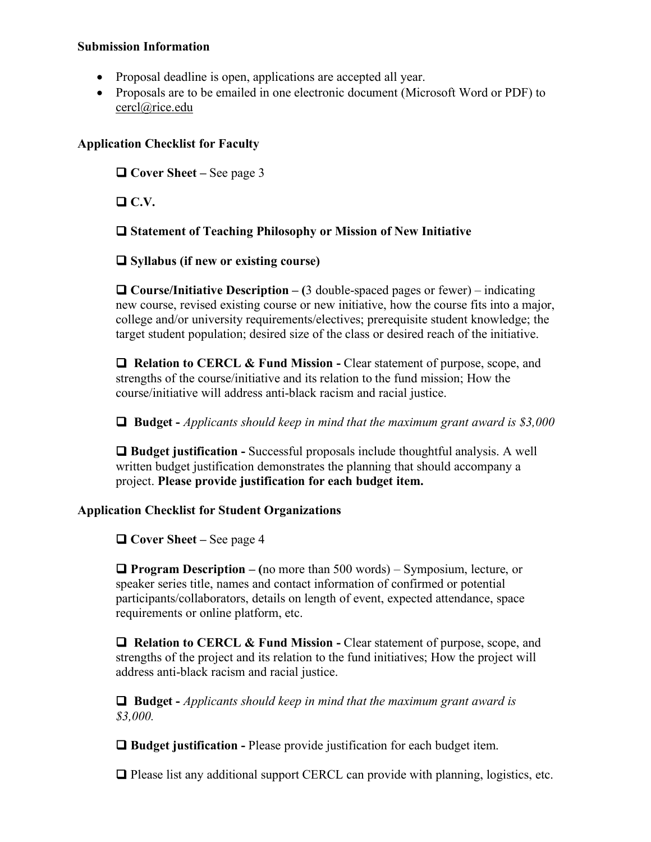#### **Submission Information**

- Proposal deadline is open, applications are accepted all year.
- Proposals are to be emailed in one electronic document (Microsoft Word or PDF) to cercl@rice.edu

#### **Application Checklist for Faculty**

□ Cover Sheet – See page 3

 $\Box$  C.V.

q **Statement of Teaching Philosophy or Mission of New Initiative**

q **Syllabus (if new or existing course)**

q **Course/Initiative Description – (**3 double-spaced pages or fewer) – indicating new course, revised existing course or new initiative, how the course fits into a major, college and/or university requirements/electives; prerequisite student knowledge; the target student population; desired size of the class or desired reach of the initiative.

 $\Box$  Relation to CERCL & Fund Mission - Clear statement of purpose, scope, and strengths of the course/initiative and its relation to the fund mission; How the course/initiative will address anti-black racism and racial justice.

q **Budget -** *Applicants should keep in mind that the maximum grant award is \$3,000*

**□ Budget justification -** Successful proposals include thoughtful analysis. A well written budget justification demonstrates the planning that should accompany a project. **Please provide justification for each budget item.** 

#### **Application Checklist for Student Organizations**

□ Cover Sheet – See page 4

q **Program Description – (**no more than 500 words) – Symposium, lecture, or speaker series title, names and contact information of confirmed or potential participants/collaborators, details on length of event, expected attendance, space requirements or online platform, etc.

**Q** Relation to CERCL & Fund Mission - Clear statement of purpose, scope, and strengths of the project and its relation to the fund initiatives; How the project will address anti-black racism and racial justice.

q **Budget -** *Applicants should keep in mind that the maximum grant award is \$3,000.* 

□ **Budget justification -** Please provide justification for each budget item.

 $\Box$  Please list any additional support CERCL can provide with planning, logistics, etc.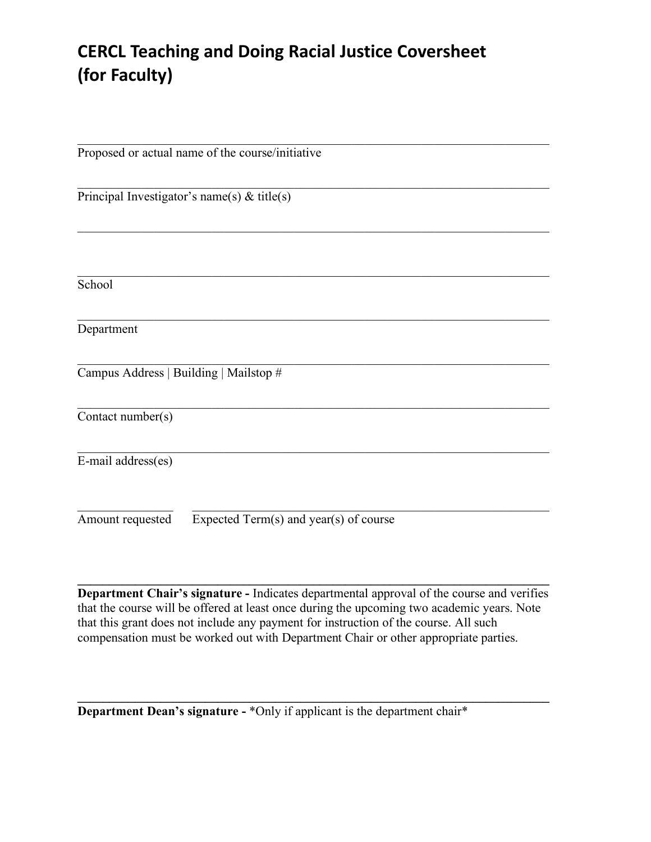## **CERCL Teaching and Doing Racial Justice Coversheet (for Faculty)**

| Proposed or actual name of the course/initiative           |
|------------------------------------------------------------|
| Principal Investigator's name(s) $\&$ title(s)             |
|                                                            |
| School                                                     |
| Department                                                 |
| Campus Address   Building   Mailstop #                     |
| Contact number(s)                                          |
| E-mail address(es)                                         |
| Amount requested<br>Expected Term(s) and year(s) of course |

**Department Chair's signature -** Indicates departmental approval of the course and verifies that the course will be offered at least once during the upcoming two academic years. Note that this grant does not include any payment for instruction of the course. All such compensation must be worked out with Department Chair or other appropriate parties.

**\_\_\_\_\_\_\_\_\_\_\_\_\_\_\_\_\_\_\_\_\_\_\_\_\_\_\_\_\_\_\_\_\_\_\_\_\_\_\_\_\_\_\_\_\_\_\_\_\_\_\_\_\_\_\_\_\_\_\_\_\_\_\_\_\_\_\_\_\_\_\_\_\_\_**

 $\mathcal{L} = \{ \mathcal{L} \mathcal{L} \mathcal{L} \mathcal{L} \mathcal{L} \mathcal{L} \mathcal{L} \mathcal{L} \mathcal{L} \mathcal{L} \mathcal{L} \mathcal{L} \mathcal{L} \mathcal{L} \mathcal{L} \mathcal{L} \mathcal{L} \mathcal{L} \mathcal{L} \mathcal{L} \mathcal{L} \mathcal{L} \mathcal{L} \mathcal{L} \mathcal{L} \mathcal{L} \mathcal{L} \mathcal{L} \mathcal{L} \mathcal{L} \mathcal{L} \mathcal{L} \mathcal{L} \mathcal{L} \mathcal{L} \$ 

**Department Dean's signature -** \*Only if applicant is the department chair\*